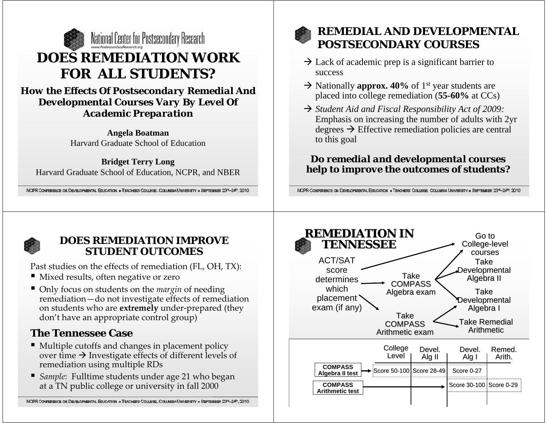

*How the Effects Of Postsecondary Remedial And Developmental Courses Vary By Level Of Academic Preparation*

> **Angela Boatman** Harvard Graduate School of Education

**Bridget Terry Long** Harvard Graduate School of Education, NCPR, and NBER

NCPR CONFERENCE ON DEVELOPMENTAL EQUCATION . TEACHERS COLLEGE, COLUMBIA UNIVERSITY . SEPTEMBER 2374-24", 2010



## **REMEDIAL AND DEVELOPMENTAL POSTSECONDARY COURSES**

- $\rightarrow$  Lack of academic prep is a significant barrier to success
- $\rightarrow$  Nationally **approx.** 40% of 1<sup>st</sup> year students are placed into college remediation (**55-60%** at CCs)
- → *Student Aid and Fiscal Responsibility Act of 2009:* Emphasis on increasing the number of adults with 2yr degrees  $\rightarrow$  Effective remediation policies are central to this goal

## *Do remedial and developmental courses help to improve the outcomes of students?*

NCPR CONFERENCE ON DEVELOPMENTAL EDUCATION . TEACHERS COLLEGE, COLUMBIA UNIVERSITY . SEPTEMBER 2374-24th, 2010



## **DOES REMEDIATION IMPROVE STUDENT OUTCOMES**

Past studies on the effects of remediation (FL, OH, TX):

- Mixed results, often negative or zero
- Only focus on students on the *margin* of needing remediation—do not investigate effects of remediation on students who are **extremely** under‐prepared (they don't have an appropriate control group)

## **The Tennessee Case**

- Multiple cutoffs and changes in placement policy over time  $\bm{\rightarrow}$  Investigate effects of different levels of remediation using multiple RDs
- *Sample*: Fulltime students under age <sup>21</sup> who began at a TN public college or university in fall 2000

NCPR CONFERENCE ON DEVELOPMENTAL EDUCATION . TEACHERS COLLEGE, COLUMBIA UNIVERSITY . SEPTEMBER 237-24", 2010

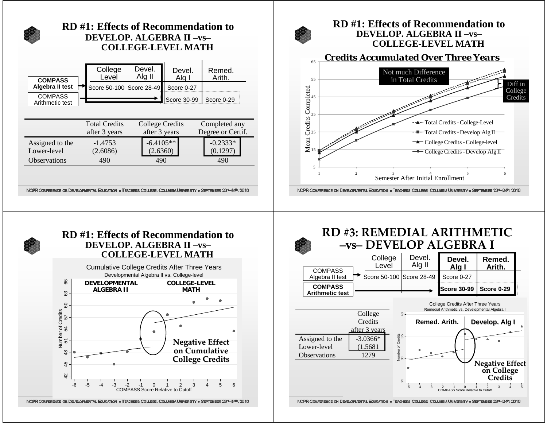

## **RD #1: Effects of Recommendation toDEVELOP. ALGEBRA II –vs–COLLEGE-LEVEL MATH**









#### **RD #3: REMEDIAL ARITHMETIC –vs– DEVELOP ALGEBRA I** College LevelDevel. Alg II **Devel. Alg I Remed.Arith.**

Diff in College



NCPR CONFERENCE ON DEVELOPMENTAL EDUCATION . TEACHERS COLLEGE, COLUMBIA UNIVERSITY . SEPTEMBER 2374-24th, 2010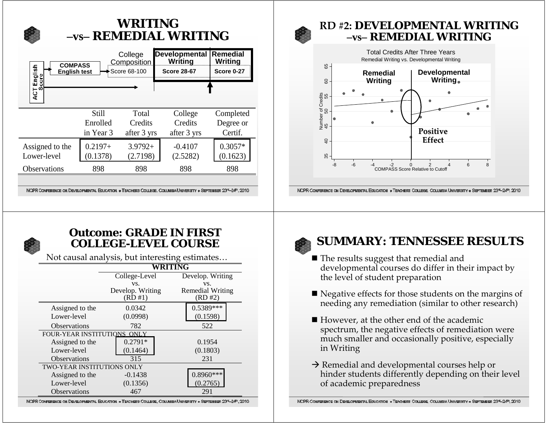# **WRITING –vs– REMEDIAL WRITING**

| <b>COMPASS</b><br>English<br><b>English test</b><br>core<br>ACT<br>S |            | College<br>Composition<br>Score 68-100 | <b>Developmental</b><br>Writing<br><b>Score 28-67</b> | <b>Remedial</b><br>Writing<br><b>Score 0-27</b> |
|----------------------------------------------------------------------|------------|----------------------------------------|-------------------------------------------------------|-------------------------------------------------|
|                                                                      | Still      | Total                                  | College                                               | Completed                                       |
|                                                                      | Enrolled   | Credits                                | Credits                                               | Degree or                                       |
|                                                                      | in Year 3  | after 3 yrs                            | after 3 yrs                                           | Certif.                                         |
| Assigned to the                                                      | $0.2197 +$ | $3.9792+$                              | $-0.4107$                                             | $0.3057*$                                       |
| Lower-level                                                          | (0.1378)   | (2.7198)                               | (2.5282)                                              | (0.1623)                                        |
| <b>Observations</b>                                                  | 898        | 898                                    | 898                                                   | 898                                             |

NGPR CONFERENCE ON DEVELOPMENTAL EQUICATION . TEACHERS COLLEGE, COLUMBIA UNIVERSITY . SEPTEMBER 23"-24", 2010

## **RD #2: DEVELOPMENTAL WRITING –vs– REMEDIAL WRITING**



NCPR CONFERENCE ON DEVELOPMENTAL EDUCATION . TEACHERS COLLEGE, COLUMBIA UNIVERSITY . SEPTEMBER 2374-24th, 2010



## **Outcome: GRADE IN FIRST COLLEGE-LEVEL COURSE**

Not causal analysis, but interesting estimates…

|                                    | WRITING          |                         |  |
|------------------------------------|------------------|-------------------------|--|
|                                    | College-Level    | Develop. Writing        |  |
|                                    | VS.              | VS.                     |  |
|                                    | Develop. Writing | <b>Remedial Writing</b> |  |
|                                    | (RD#1)           | (RD#2)                  |  |
| Assigned to the                    | 0.0342           | 0.5389***               |  |
| Lower-level                        | (0.0998)         | (0.1598)                |  |
| <b>Observations</b>                | 782              | 522                     |  |
| <b>FOUR-YEAR INSTITUTIONS ONLY</b> |                  |                         |  |
| Assigned to the                    | $0.2791*$        | 0.1954                  |  |
| Lower-level                        | (0.1464)         | (0.1803)                |  |
| <b>Observations</b>                | 315              | 231                     |  |
| <b>TWO-YEAR INSTITUTIONS ONLY</b>  |                  |                         |  |
| Assigned to the                    | $-0.1438$        | $0.8960***$             |  |
| Lower-level                        | (0.1356)         | 0.2765                  |  |
| <b>Observations</b>                | 467              | 291                     |  |

NCPR CONFERENCE ON DEVELOPMENTAL EDUCATION . TEACHERS COLLEGE, COLUMBIA UNIVERSITY . SEPTEMBER 237-24th, 2010



## **SUMMARY: TENNESSEE RESULTS**

- The results suggest that remedial and developmental courses do differ in their impact by the level of student preparation
- Negative effects for those students on the margins of needing any remediation (similar to other research)
- However, at the other end of the academic spectrum, the negative effects of remediation were much smaller and occasionally positive, especially in Writing
- $\rightarrow$  Remedial and developmental courses help or hinder students differently depending on their level of academic preparedness

NCPR CONFERENCE ON DEVELOPMENTAL EDUCATION . TEACHERS COLLEGE, COLUMBIA UNIVERSITY . SEPTEMBER 237-24th, 2010